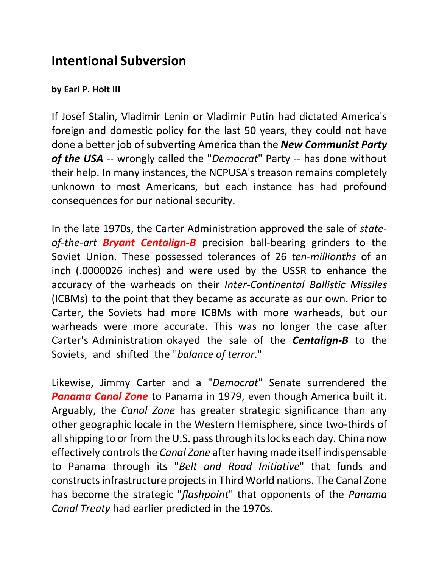## **Intentional Subversion**

## **by Earl P. Holt III**

If Josef Stalin, Vladimir Lenin or Vladimir Putin had dictated America's foreign and domestic policy for the last 50 years, they could not have done a better job of subverting America than the *New Communist Party of the USA* -- wrongly called the "*Democrat*" Party -- has done without their help. In many instances, the NCPUSA's treason remains completely unknown to most Americans, but each instance has had profound consequences for our national security.

In the late 1970s, the Carter Administration approved the sale of *stateof-the-art Bryant Centalign-B* precision ball-bearing grinders to the Soviet Union. These possessed tolerances of 26 *ten-millionths* of an inch (.0000026 inches) and were used by the USSR to enhance the accuracy of the warheads on their *Inter-Continental Ballistic Missiles* (ICBMs) to the point that they became as accurate as our own. Prior to Carter, the Soviets had more ICBMs with more warheads, but our warheads were more accurate. This was no longer the case after Carter's Administration okayed the sale of the *Centalign-B* to the Soviets, and shifted the "*balance of terror*."

Likewise, Jimmy Carter and a "*Democrat*" Senate surrendered the *Panama Canal Zone* to Panama in 1979, even though America built it. Arguably, the *Canal Zone* has greater strategic significance than any other geographic locale in the Western Hemisphere, since two-thirds of all shipping to or from the U.S. pass through its locks each day. China now effectively controls the *Canal Zone* after having made itself indispensable to Panama through its "*Belt and Road Initiative*" that funds and constructs infrastructure projects in Third World nations. The Canal Zone has become the strategic "*flashpoint*" that opponents of the *Panama Canal Treaty* had earlier predicted in the 1970s.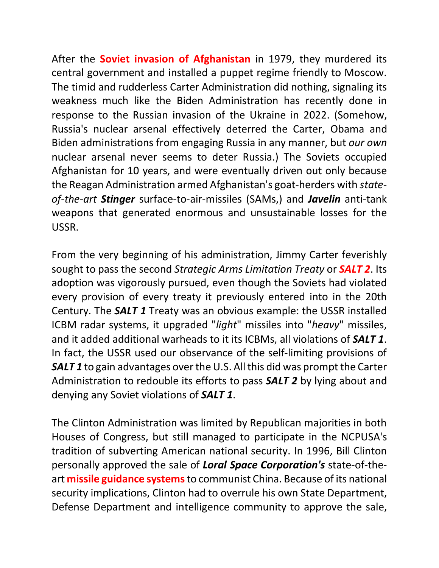After the **Soviet invasion of Afghanistan** in 1979, they murdered its central government and installed a puppet regime friendly to Moscow. The timid and rudderless Carter Administration did nothing, signaling its weakness much like the Biden Administration has recently done in response to the Russian invasion of the Ukraine in 2022. (Somehow, Russia's nuclear arsenal effectively deterred the Carter, Obama and Biden administrations from engaging Russia in any manner, but *our own* nuclear arsenal never seems to deter Russia.) The Soviets occupied Afghanistan for 10 years, and were eventually driven out only because the Reagan Administration armed Afghanistan's goat-herders with *stateof-the-art Stinger* surface-to-air-missiles (SAMs,) and *Javelin* anti-tank weapons that generated enormous and unsustainable losses for the USSR.

From the very beginning of his administration, Jimmy Carter feverishly sought to pass the second *Strategic Arms Limitation Treaty* or *SALT 2*. Its adoption was vigorously pursued, even though the Soviets had violated every provision of every treaty it previously entered into in the 20th Century. The *SALT 1* Treaty was an obvious example: the USSR installed ICBM radar systems, it upgraded "*light*" missiles into "*heavy*" missiles, and it added additional warheads to it its ICBMs, all violations of *SALT 1*. In fact, the USSR used our observance of the self-limiting provisions of *SALT 1* to gain advantages over the U.S. All this did was prompt the Carter Administration to redouble its efforts to pass *SALT 2* by lying about and denying any Soviet violations of *SALT 1*.

The Clinton Administration was limited by Republican majorities in both Houses of Congress, but still managed to participate in the NCPUSA's tradition of subverting American national security. In 1996, Bill Clinton personally approved the sale of *Loral Space Corporation's* state-of-theart **missile guidance systems**to communist China. Because of its national security implications, Clinton had to overrule his own State Department, Defense Department and intelligence community to approve the sale,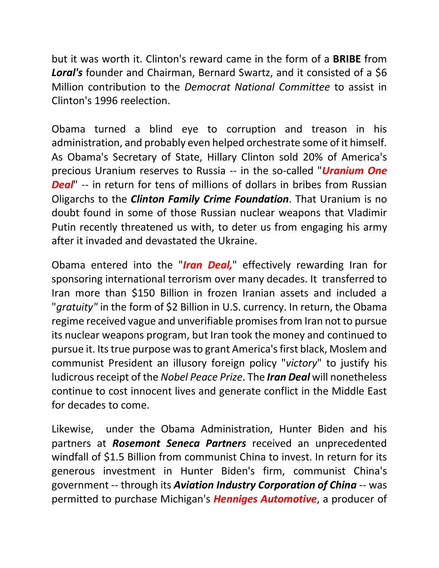but it was worth it. Clinton's reward came in the form of a **BRIBE** from *Loral's* founder and Chairman, Bernard Swartz, and it consisted of a \$6 Million contribution to the *Democrat National Committee* to assist in Clinton's 1996 reelection.

Obama turned a blind eye to corruption and treason in his administration, and probably even helped orchestrate some of it himself. As Obama's Secretary of State, Hillary Clinton sold 20% of America's precious Uranium reserves to Russia -- in the so-called "*Uranium One Deal*" -- in return for tens of millions of dollars in bribes from Russian Oligarchs to the *Clinton Family Crime Foundation*. That Uranium is no doubt found in some of those Russian nuclear weapons that Vladimir Putin recently threatened us with, to deter us from engaging his army after it invaded and devastated the Ukraine.

Obama entered into the "*Iran Deal,*" effectively rewarding Iran for sponsoring international terrorism over many decades. It transferred to Iran more than \$150 Billion in frozen Iranian assets and included a "*gratuity"* in the form of \$2 Billion in U.S. currency. In return, the Obama regime received vague and unverifiable promises from Iran not to pursue its nuclear weapons program, but Iran took the money and continued to pursue it. Its true purpose wasto grant America's first black, Moslem and communist President an illusory foreign policy "*victory*" to justify his ludicrous receipt of the *Nobel Peace Prize*. The *Iran Deal* will nonetheless continue to cost innocent lives and generate conflict in the Middle East for decades to come.

Likewise, under the Obama Administration, Hunter Biden and his partners at *Rosemont Seneca Partners* received an unprecedented windfall of \$1.5 Billion from communist China to invest. In return for its generous investment in Hunter Biden's firm, communist China's government -- through its *Aviation Industry Corporation of China* -- was permitted to purchase Michigan's *Henniges Automotive*, a producer of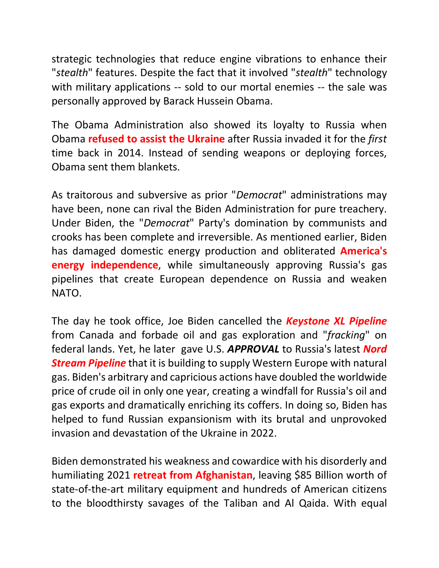strategic technologies that reduce engine vibrations to enhance their "*stealth*" features. Despite the fact that it involved "*stealth*" technology with military applications -- sold to our mortal enemies -- the sale was personally approved by Barack Hussein Obama.

The Obama Administration also showed its loyalty to Russia when Obama **refused to assist the Ukraine** after Russia invaded it for the *first* time back in 2014. Instead of sending weapons or deploying forces, Obama sent them blankets.

As traitorous and subversive as prior "*Democrat*" administrations may have been, none can rival the Biden Administration for pure treachery. Under Biden, the "*Democrat*" Party's domination by communists and crooks has been complete and irreversible. As mentioned earlier, Biden has damaged domestic energy production and obliterated **America's energy independence**, while simultaneously approving Russia's gas pipelines that create European dependence on Russia and weaken NATO.

The day he took office, Joe Biden cancelled the *Keystone XL Pipeline* from Canada and forbade oil and gas exploration and "*fracking*" on federal lands. Yet, he later gave U.S. *APPROVAL* to Russia's latest *Nord Stream Pipeline* that it is building to supply Western Europe with natural gas. Biden's arbitrary and capricious actions have doubled the worldwide price of crude oil in only one year, creating a windfall for Russia's oil and gas exports and dramatically enriching its coffers. In doing so, Biden has helped to fund Russian expansionism with its brutal and unprovoked invasion and devastation of the Ukraine in 2022.

Biden demonstrated his weakness and cowardice with his disorderly and humiliating 2021 **retreat from Afghanistan**, leaving \$85 Billion worth of state-of-the-art military equipment and hundreds of American citizens to the bloodthirsty savages of the Taliban and Al Qaida. With equal